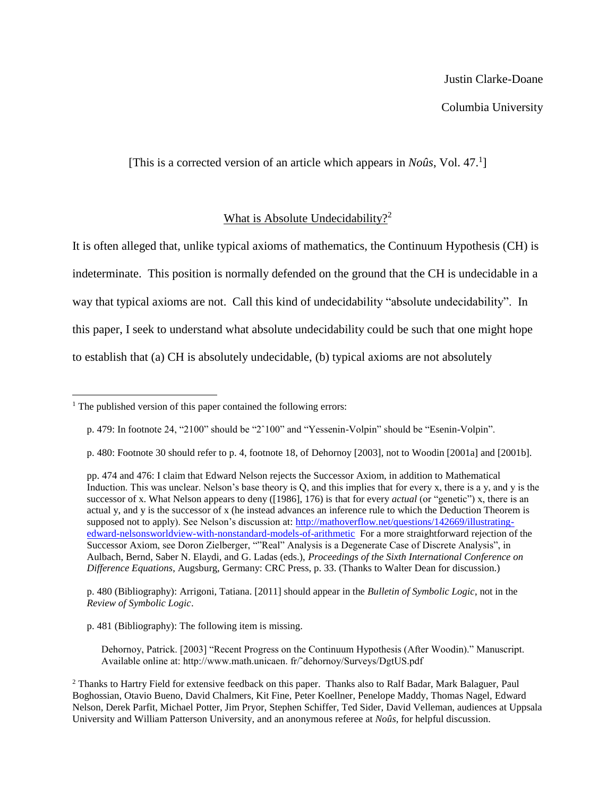# Columbia University

[This is a corrected version of an article which appears in *Noûs*, Vol. 47. 1 ]

# What is Absolute Undecidability?<sup>2</sup>

It is often alleged that, unlike typical axioms of mathematics, the Continuum Hypothesis (CH) is indeterminate. This position is normally defended on the ground that the CH is undecidable in a way that typical axioms are not. Call this kind of undecidability "absolute undecidability". In this paper, I seek to understand what absolute undecidability could be such that one might hope to establish that (a) CH is absolutely undecidable, (b) typical axioms are not absolutely

p. 480: Footnote 30 should refer to p. 4, footnote 18, of Dehornoy [2003], not to Woodin [2001a] and [2001b].

p. 480 (Bibliography): Arrigoni, Tatiana. [2011] should appear in the *Bulletin of Symbolic Logic*, not in the *Review of Symbolic Logic*.

p. 481 (Bibliography): The following item is missing.

Dehornoy, Patrick. [2003] "Recent Progress on the Continuum Hypothesis (After Woodin)." Manuscript. Available online at: http://www.math.unicaen. fr/˜dehornoy/Surveys/DgtUS.pdf

 $\overline{\phantom{a}}$  $<sup>1</sup>$  The published version of this paper contained the following errors:</sup>

p. 479: In footnote 24, "2100" should be "2ˆ100" and "Yessenin-Volpin" should be "Esenin-Volpin".

pp. 474 and 476: I claim that Edward Nelson rejects the Successor Axiom, in addition to Mathematical Induction. This was unclear. Nelson's base theory is Q, and this implies that for every x, there is a y, and y is the successor of x. What Nelson appears to deny ([1986], 176) is that for every *actual* (or "genetic") x, there is an actual y, and y is the successor of x (he instead advances an inference rule to which the Deduction Theorem is supposed not to apply). See Nelson's discussion at: [http://mathoverflow.net/questions/142669/illustrating](http://mathoverflow.net/questions/142669/illustrating-edward-nelsonsworldview-with-nonstandard-models-of-arithmetic)[edward-nelsonsworldview-with-nonstandard-models-of-arithmetic](http://mathoverflow.net/questions/142669/illustrating-edward-nelsonsworldview-with-nonstandard-models-of-arithmetic) For a more straightforward rejection of the Successor Axiom, see Doron Zielberger, ""Real" Analysis is a Degenerate Case of Discrete Analysis", in Aulbach, Bernd, Saber N. Elaydi, and G. Ladas (eds.), *Proceedings of the Sixth International Conference on Difference Equations*, Augsburg, Germany: CRC Press, p. 33. (Thanks to Walter Dean for discussion.)

<sup>2</sup> Thanks to Hartry Field for extensive feedback on this paper. Thanks also to Ralf Badar, Mark Balaguer, Paul Boghossian, Otavio Bueno, David Chalmers, Kit Fine, Peter Koellner, Penelope Maddy, Thomas Nagel, Edward Nelson, Derek Parfit, Michael Potter, Jim Pryor, Stephen Schiffer, Ted Sider, David Velleman, audiences at Uppsala University and William Patterson University, and an anonymous referee at *Noûs*, for helpful discussion.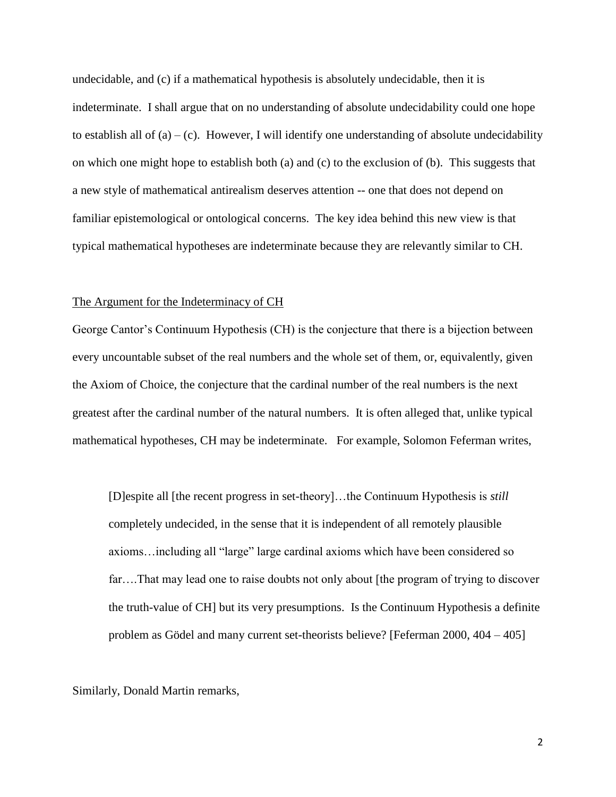undecidable, and (c) if a mathematical hypothesis is absolutely undecidable, then it is indeterminate. I shall argue that on no understanding of absolute undecidability could one hope to establish all of  $(a) - (c)$ . However, I will identify one understanding of absolute undecidability on which one might hope to establish both (a) and (c) to the exclusion of (b). This suggests that a new style of mathematical antirealism deserves attention -- one that does not depend on familiar epistemological or ontological concerns. The key idea behind this new view is that typical mathematical hypotheses are indeterminate because they are relevantly similar to CH.

#### The Argument for the Indeterminacy of CH

George Cantor's Continuum Hypothesis (CH) is the conjecture that there is a bijection between every uncountable subset of the real numbers and the whole set of them, or, equivalently, given the Axiom of Choice, the conjecture that the cardinal number of the real numbers is the next greatest after the cardinal number of the natural numbers. It is often alleged that, unlike typical mathematical hypotheses, CH may be indeterminate. For example, Solomon Feferman writes,

[D]espite all [the recent progress in set-theory]…the Continuum Hypothesis is *still* completely undecided, in the sense that it is independent of all remotely plausible axioms…including all "large" large cardinal axioms which have been considered so far….That may lead one to raise doubts not only about [the program of trying to discover the truth-value of CH] but its very presumptions. Is the Continuum Hypothesis a definite problem as Gödel and many current set-theorists believe? [Feferman 2000, 404 – 405]

Similarly, Donald Martin remarks,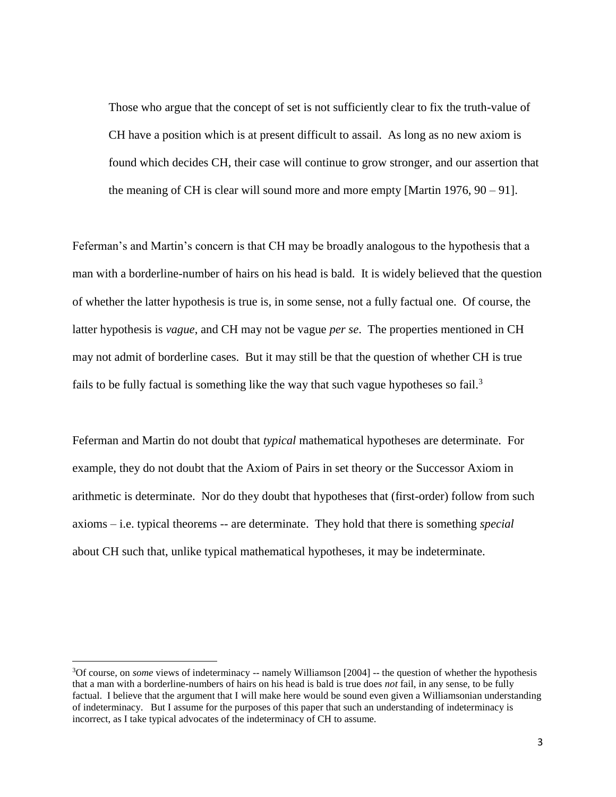Those who argue that the concept of set is not sufficiently clear to fix the truth-value of CH have a position which is at present difficult to assail. As long as no new axiom is found which decides CH, their case will continue to grow stronger, and our assertion that the meaning of CH is clear will sound more and more empty [Martin 1976,  $90 - 91$ ].

Feferman's and Martin's concern is that CH may be broadly analogous to the hypothesis that a man with a borderline-number of hairs on his head is bald. It is widely believed that the question of whether the latter hypothesis is true is, in some sense, not a fully factual one. Of course, the latter hypothesis is *vague*, and CH may not be vague *per se*. The properties mentioned in CH may not admit of borderline cases. But it may still be that the question of whether CH is true fails to be fully factual is something like the way that such vague hypotheses so fail.<sup>3</sup>

Feferman and Martin do not doubt that *typical* mathematical hypotheses are determinate. For example, they do not doubt that the Axiom of Pairs in set theory or the Successor Axiom in arithmetic is determinate. Nor do they doubt that hypotheses that (first-order) follow from such axioms – i.e. typical theorems -- are determinate. They hold that there is something *special* about CH such that, unlike typical mathematical hypotheses, it may be indeterminate.

 $\overline{a}$ 

<sup>3</sup>Of course, on *some* views of indeterminacy -- namely Williamson [2004] -- the question of whether the hypothesis that a man with a borderline-numbers of hairs on his head is bald is true does *not* fail, in any sense, to be fully factual. I believe that the argument that I will make here would be sound even given a Williamsonian understanding of indeterminacy. But I assume for the purposes of this paper that such an understanding of indeterminacy is incorrect, as I take typical advocates of the indeterminacy of CH to assume.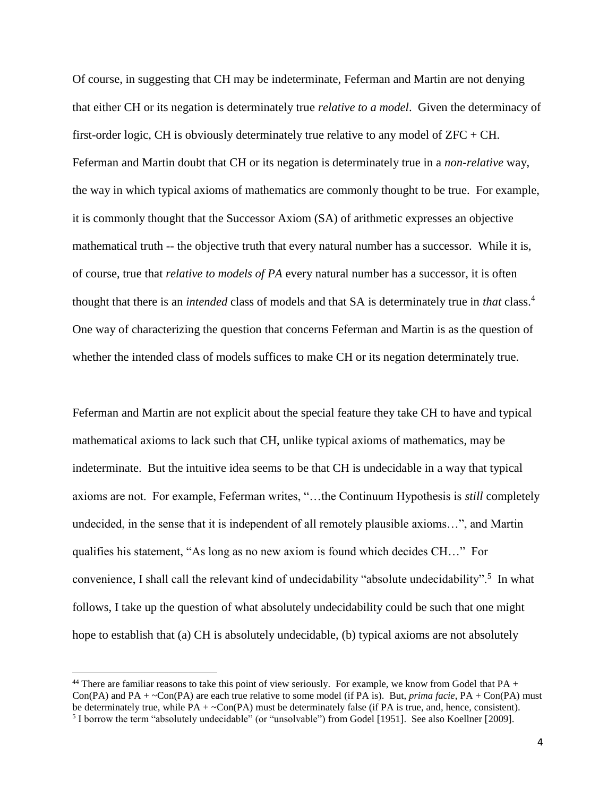Of course, in suggesting that CH may be indeterminate, Feferman and Martin are not denying that either CH or its negation is determinately true *relative to a model*. Given the determinacy of first-order logic, CH is obviously determinately true relative to any model of  $ZFC + CH$ . Feferman and Martin doubt that CH or its negation is determinately true in a *non-relative* way, the way in which typical axioms of mathematics are commonly thought to be true. For example, it is commonly thought that the Successor Axiom (SA) of arithmetic expresses an objective mathematical truth -- the objective truth that every natural number has a successor. While it is, of course, true that *relative to models of PA* every natural number has a successor, it is often thought that there is an *intended* class of models and that SA is determinately true in *that* class.<sup>4</sup> One way of characterizing the question that concerns Feferman and Martin is as the question of whether the intended class of models suffices to make CH or its negation determinately true.

Feferman and Martin are not explicit about the special feature they take CH to have and typical mathematical axioms to lack such that CH, unlike typical axioms of mathematics, may be indeterminate. But the intuitive idea seems to be that CH is undecidable in a way that typical axioms are not. For example, Feferman writes, "…the Continuum Hypothesis is *still* completely undecided, in the sense that it is independent of all remotely plausible axioms…", and Martin qualifies his statement, "As long as no new axiom is found which decides CH…" For convenience, I shall call the relevant kind of undecidability "absolute undecidability".<sup>5</sup> In what follows, I take up the question of what absolutely undecidability could be such that one might hope to establish that (a) CH is absolutely undecidable, (b) typical axioms are not absolutely

<sup>&</sup>lt;sup>44</sup> There are familiar reasons to take this point of view seriously. For example, we know from Godel that  $PA +$ Con(PA) and PA + ~Con(PA) are each true relative to some model (if PA is). But, *prima facie*, PA + Con(PA) must be determinately true, while  $PA + \sim Con(PA)$  must be determinately false (if PA is true, and, hence, consistent).

<sup>&</sup>lt;sup>5</sup> I borrow the term "absolutely undecidable" (or "unsolvable") from Godel [1951]. See also Koellner [2009].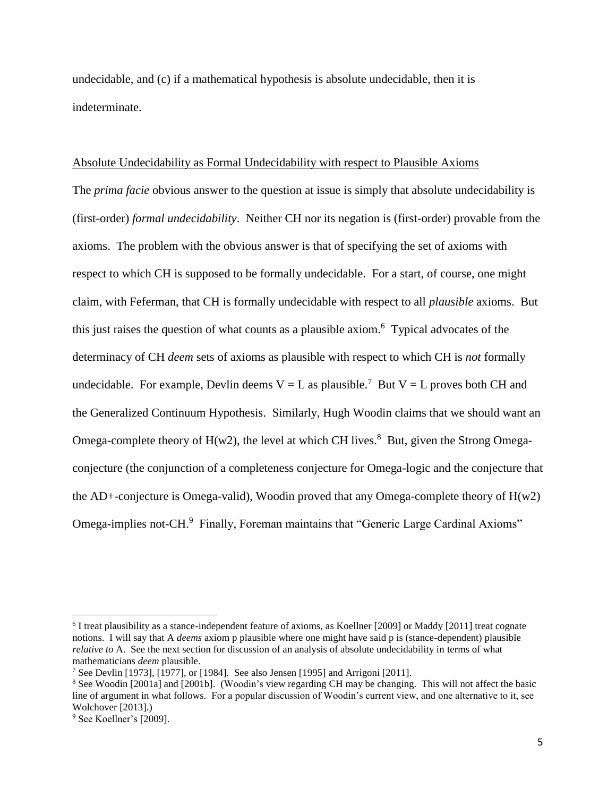undecidable, and (c) if a mathematical hypothesis is absolute undecidable, then it is indeterminate.

### Absolute Undecidability as Formal Undecidability with respect to Plausible Axioms

The *prima facie* obvious answer to the question at issue is simply that absolute undecidability is (first-order) *formal undecidability*. Neither CH nor its negation is (first-order) provable from the axioms. The problem with the obvious answer is that of specifying the set of axioms with respect to which CH is supposed to be formally undecidable. For a start, of course, one might claim, with Feferman, that CH is formally undecidable with respect to all *plausible* axioms. But this just raises the question of what counts as a plausible axiom.<sup>6</sup> Typical advocates of the determinacy of CH *deem* sets of axioms as plausible with respect to which CH is *not* formally undecidable. For example, Devlin deems  $V = L$  as plausible.<sup>7</sup> But  $V = L$  proves both CH and the Generalized Continuum Hypothesis. Similarly, Hugh Woodin claims that we should want an Omega-complete theory of  $H(w2)$ , the level at which CH lives.<sup>8</sup> But, given the Strong Omegaconjecture (the conjunction of a completeness conjecture for Omega-logic and the conjecture that the AD+-conjecture is Omega-valid), Woodin proved that any Omega-complete theory of  $H(w2)$ Omega-implies not-CH.<sup>9</sup> Finally, Foreman maintains that "Generic Large Cardinal Axioms"

<sup>&</sup>lt;sup>6</sup> I treat plausibility as a stance-independent feature of axioms, as Koellner [2009] or Maddy [2011] treat cognate notions. I will say that A *deems* axiom p plausible where one might have said p is (stance-dependent) plausible *relative to* A. See the next section for discussion of an analysis of absolute undecidability in terms of what mathematicians *deem* plausible.

<sup>7</sup> See Devlin [1973], [1977], or [1984]. See also Jensen [1995] and Arrigoni [2011].

<sup>8</sup> See Woodin [2001a] and [2001b]. (Woodin's view regarding CH may be changing. This will not affect the basic line of argument in what follows. For a popular discussion of Woodin's current view, and one alternative to it, see [Wolchover](https://www.simonsfoundation.org/authors/natalie-wolchover/?quanta) [2013].)

<sup>&</sup>lt;sup>9</sup> See Koellner's [2009].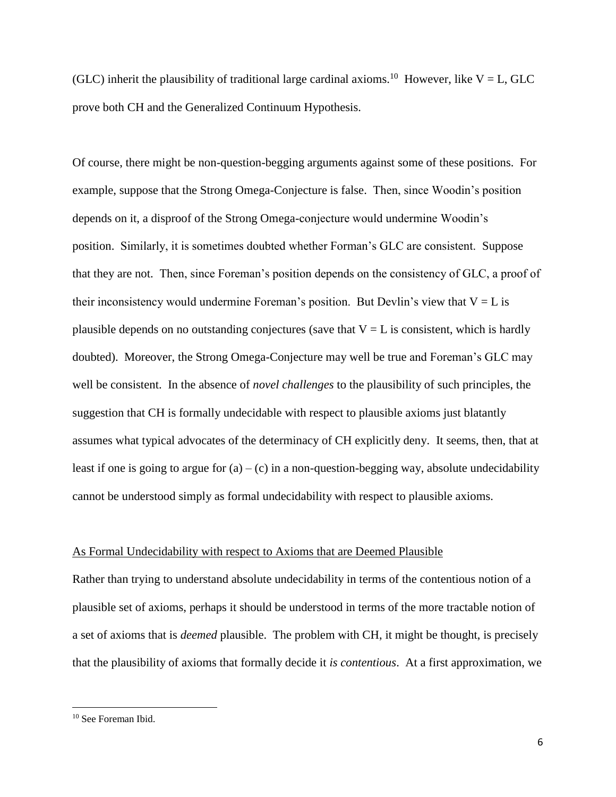(GLC) inherit the plausibility of traditional large cardinal axioms.<sup>10</sup> However, like  $V = L$ , GLC prove both CH and the Generalized Continuum Hypothesis.

Of course, there might be non-question-begging arguments against some of these positions. For example, suppose that the Strong Omega-Conjecture is false. Then, since Woodin's position depends on it, a disproof of the Strong Omega-conjecture would undermine Woodin's position. Similarly, it is sometimes doubted whether Forman's GLC are consistent. Suppose that they are not. Then, since Foreman's position depends on the consistency of GLC, a proof of their inconsistency would undermine Foreman's position. But Devlin's view that  $V = L$  is plausible depends on no outstanding conjectures (save that  $V = L$  is consistent, which is hardly doubted). Moreover, the Strong Omega-Conjecture may well be true and Foreman's GLC may well be consistent. In the absence of *novel challenges* to the plausibility of such principles, the suggestion that CH is formally undecidable with respect to plausible axioms just blatantly assumes what typical advocates of the determinacy of CH explicitly deny. It seems, then, that at least if one is going to argue for  $(a) - (c)$  in a non-question-begging way, absolute undecidability cannot be understood simply as formal undecidability with respect to plausible axioms.

## As Formal Undecidability with respect to Axioms that are Deemed Plausible

Rather than trying to understand absolute undecidability in terms of the contentious notion of a plausible set of axioms, perhaps it should be understood in terms of the more tractable notion of a set of axioms that is *deemed* plausible. The problem with CH, it might be thought, is precisely that the plausibility of axioms that formally decide it *is contentious*. At a first approximation, we

<sup>&</sup>lt;sup>10</sup> See Foreman Ibid.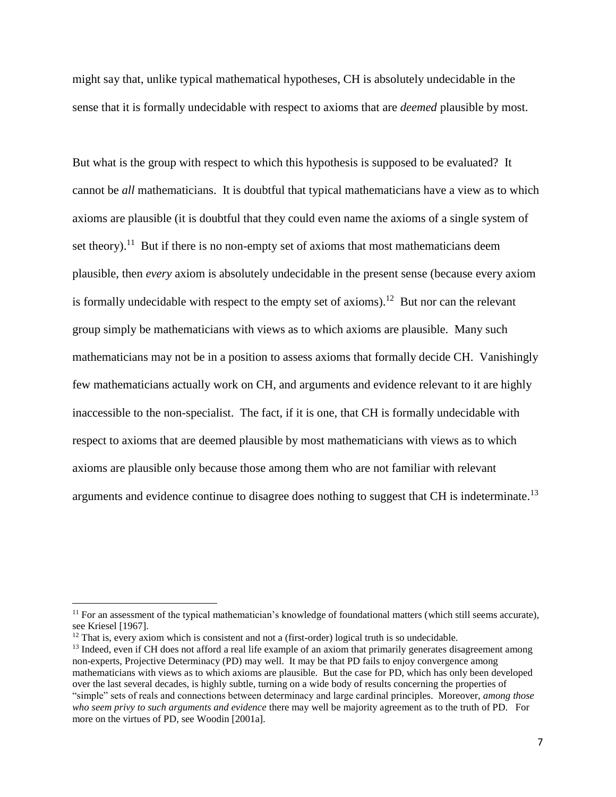might say that, unlike typical mathematical hypotheses, CH is absolutely undecidable in the sense that it is formally undecidable with respect to axioms that are *deemed* plausible by most.

But what is the group with respect to which this hypothesis is supposed to be evaluated? It cannot be *all* mathematicians. It is doubtful that typical mathematicians have a view as to which axioms are plausible (it is doubtful that they could even name the axioms of a single system of set theory).<sup>11</sup> But if there is no non-empty set of axioms that most mathematicians deem plausible, then *every* axiom is absolutely undecidable in the present sense (because every axiom is formally undecidable with respect to the empty set of axioms).<sup>12</sup> But nor can the relevant group simply be mathematicians with views as to which axioms are plausible. Many such mathematicians may not be in a position to assess axioms that formally decide CH. Vanishingly few mathematicians actually work on CH, and arguments and evidence relevant to it are highly inaccessible to the non-specialist. The fact, if it is one, that CH is formally undecidable with respect to axioms that are deemed plausible by most mathematicians with views as to which axioms are plausible only because those among them who are not familiar with relevant arguments and evidence continue to disagree does nothing to suggest that CH is indeterminate.<sup>13</sup>

 $11$  For an assessment of the typical mathematician's knowledge of foundational matters (which still seems accurate), see Kriesel [1967].

 $12$  That is, every axiom which is consistent and not a (first-order) logical truth is so undecidable.

 $<sup>13</sup>$  Indeed, even if CH does not afford a real life example of an axiom that primarily generates disagreement among</sup> non-experts, Projective Determinacy (PD) may well. It may be that PD fails to enjoy convergence among mathematicians with views as to which axioms are plausible. But the case for PD, which has only been developed over the last several decades, is highly subtle, turning on a wide body of results concerning the properties of "simple" sets of reals and connections between determinacy and large cardinal principles. Moreover, *among those who seem privy to such arguments and evidence* there may well be majority agreement as to the truth of PD. For more on the virtues of PD, see Woodin [2001a].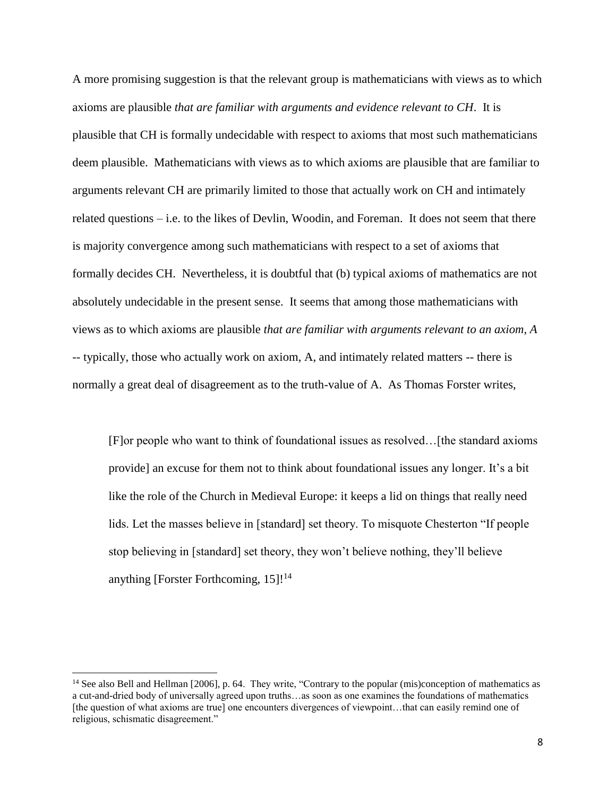A more promising suggestion is that the relevant group is mathematicians with views as to which axioms are plausible *that are familiar with arguments and evidence relevant to CH*. It is plausible that CH is formally undecidable with respect to axioms that most such mathematicians deem plausible. Mathematicians with views as to which axioms are plausible that are familiar to arguments relevant CH are primarily limited to those that actually work on CH and intimately related questions – i.e. to the likes of Devlin, Woodin, and Foreman. It does not seem that there is majority convergence among such mathematicians with respect to a set of axioms that formally decides CH. Nevertheless, it is doubtful that (b) typical axioms of mathematics are not absolutely undecidable in the present sense. It seems that among those mathematicians with views as to which axioms are plausible *that are familiar with arguments relevant to an axiom, A* -- typically, those who actually work on axiom, A, and intimately related matters -- there is normally a great deal of disagreement as to the truth-value of A. As Thomas Forster writes,

[F]or people who want to think of foundational issues as resolved…[the standard axioms provide] an excuse for them not to think about foundational issues any longer. It's a bit like the role of the Church in Medieval Europe: it keeps a lid on things that really need lids. Let the masses believe in [standard] set theory. To misquote Chesterton "If people stop believing in [standard] set theory, they won't believe nothing, they'll believe anything [Forster Forthcoming,  $15$ ]!<sup>14</sup>

<sup>&</sup>lt;sup>14</sup> See also Bell and Hellman [2006], p. 64. They write, "Contrary to the popular (mis)conception of mathematics as a cut-and-dried body of universally agreed upon truths…as soon as one examines the foundations of mathematics [the question of what axioms are true] one encounters divergences of viewpoint…that can easily remind one of religious, schismatic disagreement."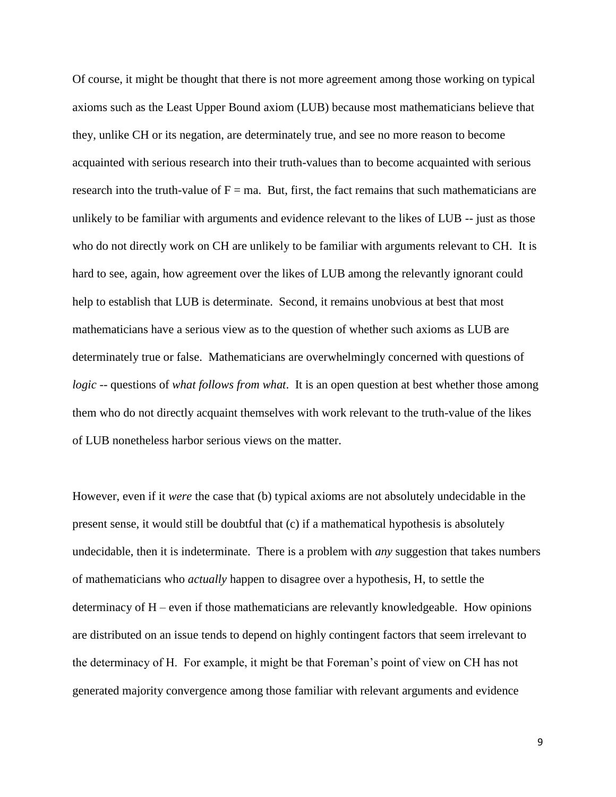Of course, it might be thought that there is not more agreement among those working on typical axioms such as the Least Upper Bound axiom (LUB) because most mathematicians believe that they, unlike CH or its negation, are determinately true, and see no more reason to become acquainted with serious research into their truth-values than to become acquainted with serious research into the truth-value of  $F = ma$ . But, first, the fact remains that such mathematicians are unlikely to be familiar with arguments and evidence relevant to the likes of LUB -- just as those who do not directly work on CH are unlikely to be familiar with arguments relevant to CH. It is hard to see, again, how agreement over the likes of LUB among the relevantly ignorant could help to establish that LUB is determinate. Second, it remains unobvious at best that most mathematicians have a serious view as to the question of whether such axioms as LUB are determinately true or false. Mathematicians are overwhelmingly concerned with questions of *logic* -- questions of *what follows from what*. It is an open question at best whether those among them who do not directly acquaint themselves with work relevant to the truth-value of the likes of LUB nonetheless harbor serious views on the matter.

However, even if it *were* the case that (b) typical axioms are not absolutely undecidable in the present sense, it would still be doubtful that (c) if a mathematical hypothesis is absolutely undecidable, then it is indeterminate. There is a problem with *any* suggestion that takes numbers of mathematicians who *actually* happen to disagree over a hypothesis, H, to settle the determinacy of H – even if those mathematicians are relevantly knowledgeable. How opinions are distributed on an issue tends to depend on highly contingent factors that seem irrelevant to the determinacy of H. For example, it might be that Foreman's point of view on CH has not generated majority convergence among those familiar with relevant arguments and evidence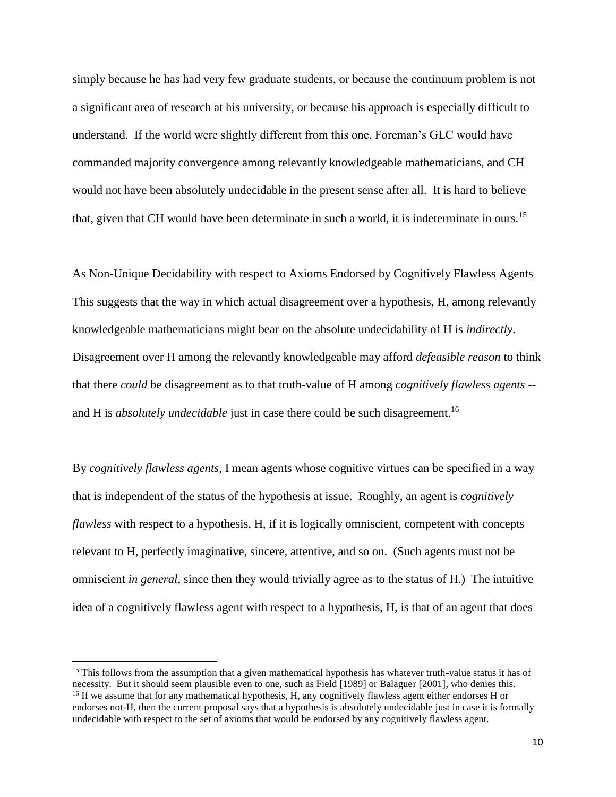simply because he has had very few graduate students, or because the continuum problem is not a significant area of research at his university, or because his approach is especially difficult to understand. If the world were slightly different from this one, Foreman's GLC would have commanded majority convergence among relevantly knowledgeable mathematicians, and CH would not have been absolutely undecidable in the present sense after all. It is hard to believe that, given that CH would have been determinate in such a world, it is indeterminate in ours.<sup>15</sup>

As Non-Unique Decidability with respect to Axioms Endorsed by Cognitively Flawless Agents This suggests that the way in which actual disagreement over a hypothesis, H, among relevantly knowledgeable mathematicians might bear on the absolute undecidability of H is *indirectly*. Disagreement over H among the relevantly knowledgeable may afford *defeasible reason* to think that there *could* be disagreement as to that truth-value of H among *cognitively flawless agents* - and H is *absolutely undecidable* just in case there could be such disagreement.<sup>16</sup>

By *cognitively flawless agents*, I mean agents whose cognitive virtues can be specified in a way that is independent of the status of the hypothesis at issue. Roughly, an agent is *cognitively flawless* with respect to a hypothesis, H, if it is logically omniscient, competent with concepts relevant to H, perfectly imaginative, sincere, attentive, and so on. (Such agents must not be omniscient *in general*, since then they would trivially agree as to the status of H.) The intuitive idea of a cognitively flawless agent with respect to a hypothesis, H, is that of an agent that does

 $\overline{a}$ 

<sup>&</sup>lt;sup>15</sup> This follows from the assumption that a given mathematical hypothesis has whatever truth-value status it has of necessity. But it should seem plausible even to one, such as Field [1989] or Balaguer [2001], who denies this. <sup>16</sup> If we assume that for any mathematical hypothesis, H, any cognitively flawless agent either endorses H or endorses not-H, then the current proposal says that a hypothesis is absolutely undecidable just in case it is formally undecidable with respect to the set of axioms that would be endorsed by any cognitively flawless agent.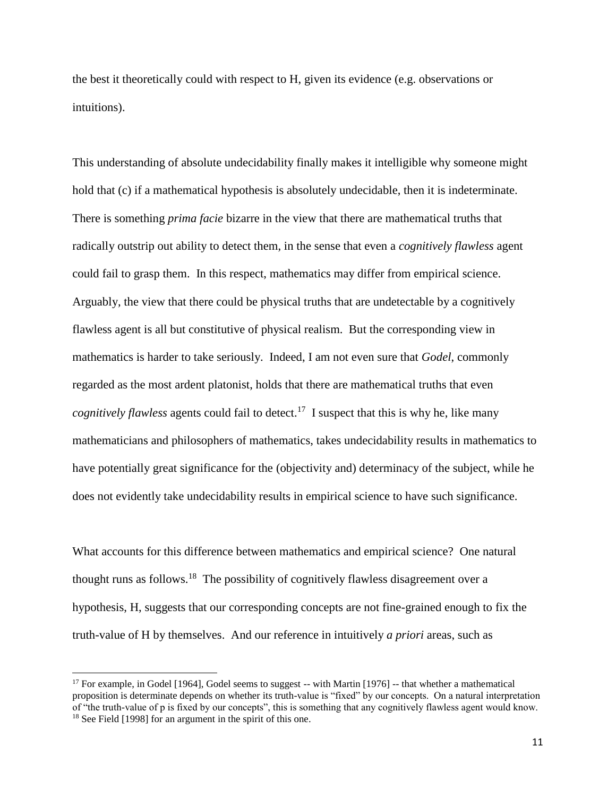the best it theoretically could with respect to H, given its evidence (e.g. observations or intuitions).

This understanding of absolute undecidability finally makes it intelligible why someone might hold that (c) if a mathematical hypothesis is absolutely undecidable, then it is indeterminate. There is something *prima facie* bizarre in the view that there are mathematical truths that radically outstrip out ability to detect them, in the sense that even a *cognitively flawless* agent could fail to grasp them. In this respect, mathematics may differ from empirical science. Arguably, the view that there could be physical truths that are undetectable by a cognitively flawless agent is all but constitutive of physical realism. But the corresponding view in mathematics is harder to take seriously. Indeed, I am not even sure that *Godel*, commonly regarded as the most ardent platonist, holds that there are mathematical truths that even *cognitively flawless* agents could fail to detect. 17 I suspect that this is why he, like many mathematicians and philosophers of mathematics, takes undecidability results in mathematics to have potentially great significance for the (objectivity and) determinacy of the subject, while he does not evidently take undecidability results in empirical science to have such significance.

What accounts for this difference between mathematics and empirical science? One natural thought runs as follows.<sup>18</sup> The possibility of cognitively flawless disagreement over a hypothesis, H, suggests that our corresponding concepts are not fine-grained enough to fix the truth-value of H by themselves. And our reference in intuitively *a priori* areas, such as

<sup>&</sup>lt;sup>17</sup> For example, in Godel [1964], Godel seems to suggest -- with Martin [1976] -- that whether a mathematical proposition is determinate depends on whether its truth-value is "fixed" by our concepts. On a natural interpretation of "the truth-value of p is fixed by our concepts", this is something that any cognitively flawless agent would know. <sup>18</sup> See Field [1998] for an argument in the spirit of this one.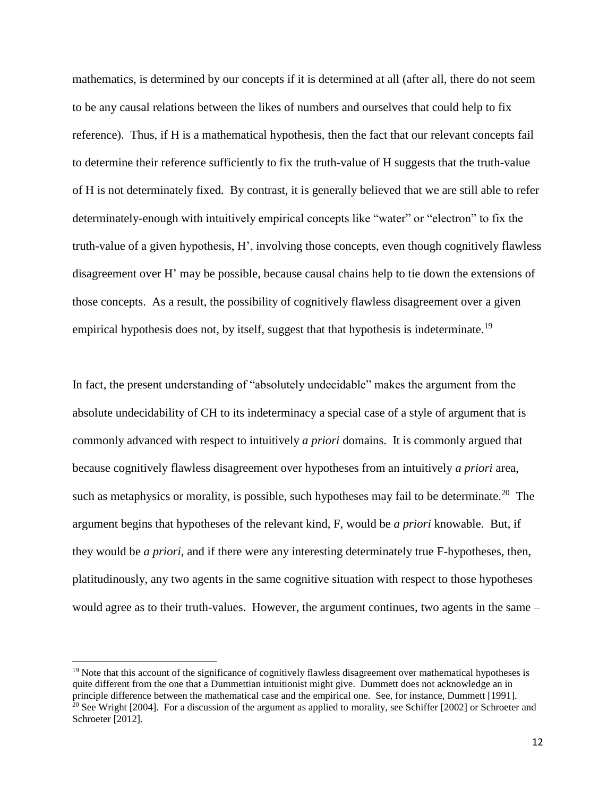mathematics, is determined by our concepts if it is determined at all (after all, there do not seem to be any causal relations between the likes of numbers and ourselves that could help to fix reference). Thus, if H is a mathematical hypothesis, then the fact that our relevant concepts fail to determine their reference sufficiently to fix the truth-value of H suggests that the truth-value of H is not determinately fixed. By contrast, it is generally believed that we are still able to refer determinately-enough with intuitively empirical concepts like "water" or "electron" to fix the truth-value of a given hypothesis, H', involving those concepts, even though cognitively flawless disagreement over H' may be possible, because causal chains help to tie down the extensions of those concepts. As a result, the possibility of cognitively flawless disagreement over a given empirical hypothesis does not, by itself, suggest that that hypothesis is indeterminate.<sup>19</sup>

In fact, the present understanding of "absolutely undecidable" makes the argument from the absolute undecidability of CH to its indeterminacy a special case of a style of argument that is commonly advanced with respect to intuitively *a priori* domains. It is commonly argued that because cognitively flawless disagreement over hypotheses from an intuitively *a priori* area, such as metaphysics or morality, is possible, such hypotheses may fail to be determinate.<sup>20</sup> The argument begins that hypotheses of the relevant kind, F, would be *a priori* knowable. But, if they would be *a priori*, and if there were any interesting determinately true F-hypotheses, then, platitudinously, any two agents in the same cognitive situation with respect to those hypotheses would agree as to their truth-values. However, the argument continues, two agents in the same –

 $\overline{a}$ 

 $19$  Note that this account of the significance of cognitively flawless disagreement over mathematical hypotheses is quite different from the one that a Dummettian intuitionist might give. Dummett does not acknowledge an in principle difference between the mathematical case and the empirical one. See, for instance, Dummett [1991]. <sup>20</sup> See Wright  $[2004]$ . For a discussion of the argument as applied to morality, see Schiffer  $[2002]$  or Schroeter and Schroeter [2012].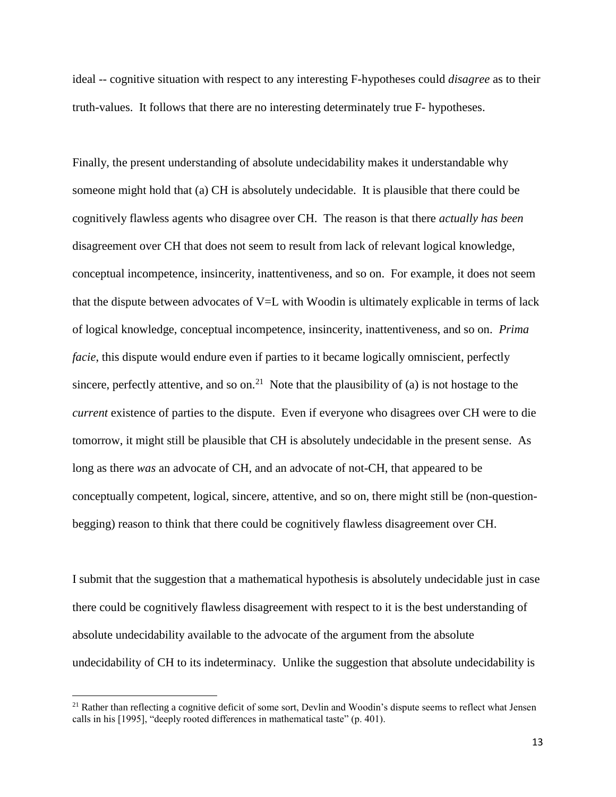ideal -- cognitive situation with respect to any interesting F-hypotheses could *disagree* as to their truth-values. It follows that there are no interesting determinately true F- hypotheses.

Finally, the present understanding of absolute undecidability makes it understandable why someone might hold that (a) CH is absolutely undecidable. It is plausible that there could be cognitively flawless agents who disagree over CH. The reason is that there *actually has been*  disagreement over CH that does not seem to result from lack of relevant logical knowledge, conceptual incompetence, insincerity, inattentiveness, and so on. For example, it does not seem that the dispute between advocates of  $V=L$  with Woodin is ultimately explicable in terms of lack of logical knowledge, conceptual incompetence, insincerity, inattentiveness, and so on. *Prima facie*, this dispute would endure even if parties to it became logically omniscient, perfectly sincere, perfectly attentive, and so on.<sup>21</sup> Note that the plausibility of (a) is not hostage to the *current* existence of parties to the dispute. Even if everyone who disagrees over CH were to die tomorrow, it might still be plausible that CH is absolutely undecidable in the present sense. As long as there *was* an advocate of CH, and an advocate of not-CH, that appeared to be conceptually competent, logical, sincere, attentive, and so on, there might still be (non-questionbegging) reason to think that there could be cognitively flawless disagreement over CH.

I submit that the suggestion that a mathematical hypothesis is absolutely undecidable just in case there could be cognitively flawless disagreement with respect to it is the best understanding of absolute undecidability available to the advocate of the argument from the absolute undecidability of CH to its indeterminacy. Unlike the suggestion that absolute undecidability is

 $^{21}$  Rather than reflecting a cognitive deficit of some sort, Devlin and Woodin's dispute seems to reflect what Jensen calls in his [1995], "deeply rooted differences in mathematical taste" (p. 401).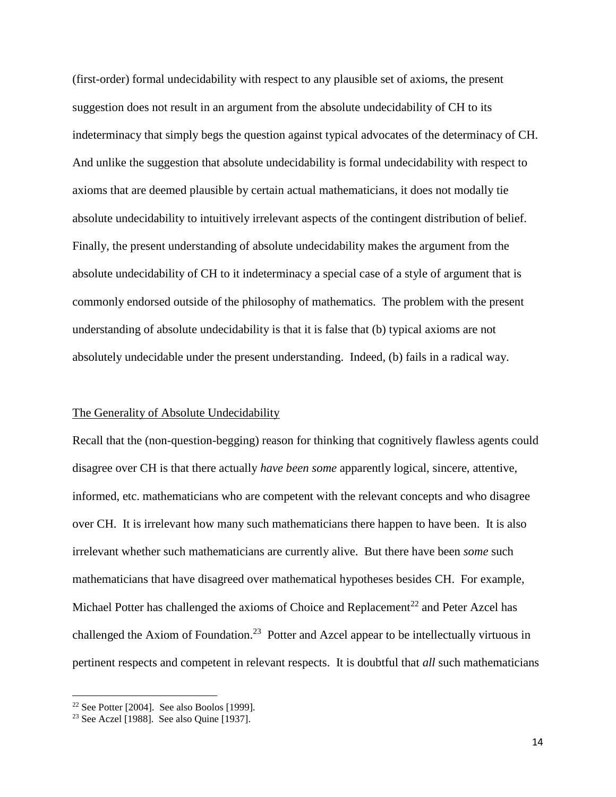(first-order) formal undecidability with respect to any plausible set of axioms, the present suggestion does not result in an argument from the absolute undecidability of CH to its indeterminacy that simply begs the question against typical advocates of the determinacy of CH. And unlike the suggestion that absolute undecidability is formal undecidability with respect to axioms that are deemed plausible by certain actual mathematicians, it does not modally tie absolute undecidability to intuitively irrelevant aspects of the contingent distribution of belief. Finally, the present understanding of absolute undecidability makes the argument from the absolute undecidability of CH to it indeterminacy a special case of a style of argument that is commonly endorsed outside of the philosophy of mathematics. The problem with the present understanding of absolute undecidability is that it is false that (b) typical axioms are not absolutely undecidable under the present understanding. Indeed, (b) fails in a radical way.

### The Generality of Absolute Undecidability

Recall that the (non-question-begging) reason for thinking that cognitively flawless agents could disagree over CH is that there actually *have been some* apparently logical, sincere, attentive, informed, etc. mathematicians who are competent with the relevant concepts and who disagree over CH. It is irrelevant how many such mathematicians there happen to have been. It is also irrelevant whether such mathematicians are currently alive. But there have been *some* such mathematicians that have disagreed over mathematical hypotheses besides CH. For example, Michael Potter has challenged the axioms of Choice and Replacement<sup>22</sup> and Peter Azcel has challenged the Axiom of Foundation.<sup>23</sup> Potter and Azcel appear to be intellectually virtuous in pertinent respects and competent in relevant respects. It is doubtful that *all* such mathematicians

 $22$  See Potter [2004]. See also Boolos [1999].

<sup>&</sup>lt;sup>23</sup> See Aczel [1988]. See also Quine [1937].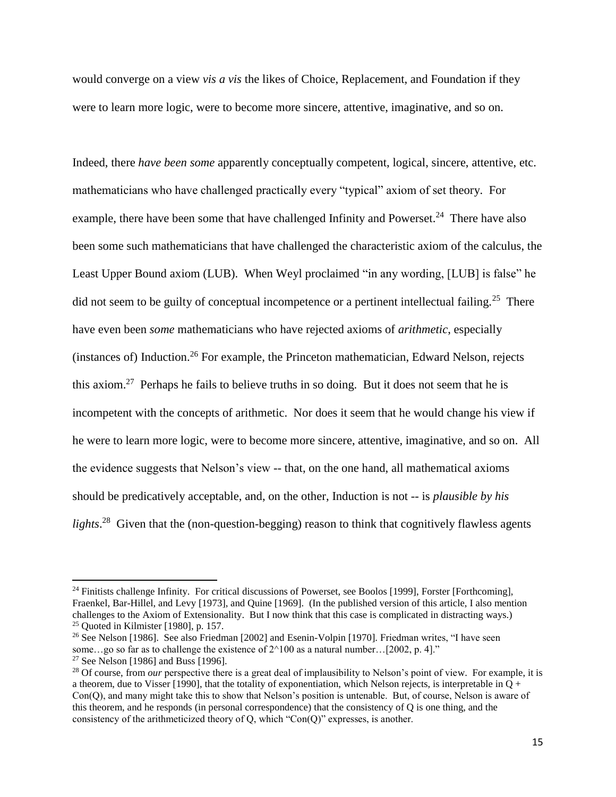would converge on a view *vis a vis* the likes of Choice, Replacement, and Foundation if they were to learn more logic, were to become more sincere, attentive, imaginative, and so on.

Indeed, there *have been some* apparently conceptually competent, logical, sincere, attentive, etc. mathematicians who have challenged practically every "typical" axiom of set theory. For example, there have been some that have challenged Infinity and Powerset.<sup>24</sup> There have also been some such mathematicians that have challenged the characteristic axiom of the calculus, the Least Upper Bound axiom (LUB). When Weyl proclaimed "in any wording, [LUB] is false" he did not seem to be guilty of conceptual incompetence or a pertinent intellectual failing.<sup>25</sup> There have even been *some* mathematicians who have rejected axioms of *arithmetic*, especially (instances of) Induction. <sup>26</sup> For example, the Princeton mathematician, Edward Nelson, rejects this axiom.<sup>27</sup> Perhaps he fails to believe truths in so doing. But it does not seem that he is incompetent with the concepts of arithmetic. Nor does it seem that he would change his view if he were to learn more logic, were to become more sincere, attentive, imaginative, and so on. All the evidence suggests that Nelson's view -- that, on the one hand, all mathematical axioms should be predicatively acceptable, and, on the other, Induction is not -- is *plausible by his*  lights.<sup>28</sup> Given that the (non-question-begging) reason to think that cognitively flawless agents

 $\overline{a}$ 

 $^{24}$  Finitists challenge Infinity. For critical discussions of Powerset, see Boolos [1999], Forster [Forthcoming], Fraenkel, Bar-Hillel, and Levy [1973], and Quine [1969]. (In the published version of this article, I also mention challenges to the Axiom of Extensionality. But I now think that this case is complicated in distracting ways.) <sup>25</sup> Quoted in Kilmister [1980], p. 157.

<sup>&</sup>lt;sup>26</sup> See Nelson [1986]. See also Friedman [2002] and Esenin-Volpin [1970]. Friedman writes, "I have seen some...go so far as to challenge the existence of  $2^{\wedge}100$  as a natural number...[2002, p. 4]." <sup>27</sup> See Nelson [1986] and Buss [1996].

<sup>&</sup>lt;sup>28</sup> Of course, from *our* perspective there is a great deal of implausibility to Nelson's point of view. For example, it is a theorem, due to Visser [1990], that the totality of exponentiation, which Nelson rejects, is interpretable in  $Q +$ Con(Q), and many might take this to show that Nelson's position is untenable. But, of course, Nelson is aware of this theorem, and he responds (in personal correspondence) that the consistency of Q is one thing, and the consistency of the arithmeticized theory of Q, which "Con(Q)" expresses, is another.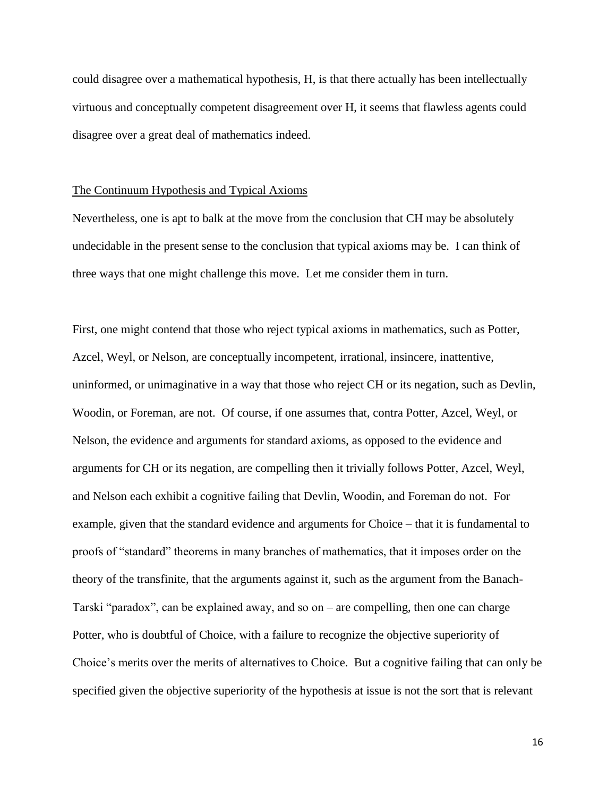could disagree over a mathematical hypothesis, H, is that there actually has been intellectually virtuous and conceptually competent disagreement over H, it seems that flawless agents could disagree over a great deal of mathematics indeed.

### The Continuum Hypothesis and Typical Axioms

Nevertheless, one is apt to balk at the move from the conclusion that CH may be absolutely undecidable in the present sense to the conclusion that typical axioms may be. I can think of three ways that one might challenge this move. Let me consider them in turn.

First, one might contend that those who reject typical axioms in mathematics, such as Potter, Azcel, Weyl, or Nelson, are conceptually incompetent, irrational, insincere, inattentive, uninformed, or unimaginative in a way that those who reject CH or its negation, such as Devlin, Woodin, or Foreman, are not. Of course, if one assumes that, contra Potter, Azcel, Weyl, or Nelson, the evidence and arguments for standard axioms, as opposed to the evidence and arguments for CH or its negation, are compelling then it trivially follows Potter, Azcel, Weyl, and Nelson each exhibit a cognitive failing that Devlin, Woodin, and Foreman do not. For example, given that the standard evidence and arguments for Choice – that it is fundamental to proofs of "standard" theorems in many branches of mathematics, that it imposes order on the theory of the transfinite, that the arguments against it, such as the argument from the Banach-Tarski "paradox", can be explained away, and so on – are compelling, then one can charge Potter, who is doubtful of Choice, with a failure to recognize the objective superiority of Choice's merits over the merits of alternatives to Choice. But a cognitive failing that can only be specified given the objective superiority of the hypothesis at issue is not the sort that is relevant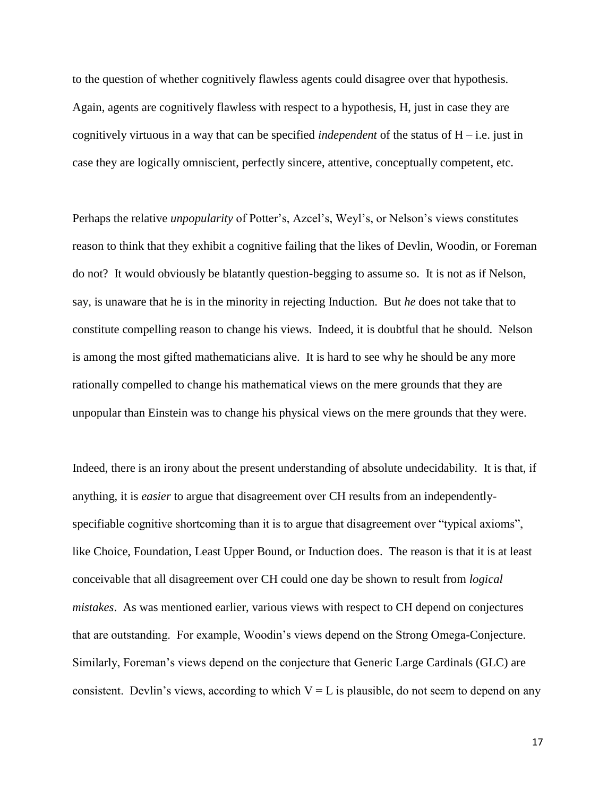to the question of whether cognitively flawless agents could disagree over that hypothesis. Again, agents are cognitively flawless with respect to a hypothesis, H, just in case they are cognitively virtuous in a way that can be specified *independent* of the status of  $H - i.e.$  just in case they are logically omniscient, perfectly sincere, attentive, conceptually competent, etc.

Perhaps the relative *unpopularity* of Potter's, Azcel's, Weyl's, or Nelson's views constitutes reason to think that they exhibit a cognitive failing that the likes of Devlin, Woodin, or Foreman do not? It would obviously be blatantly question-begging to assume so. It is not as if Nelson, say, is unaware that he is in the minority in rejecting Induction. But *he* does not take that to constitute compelling reason to change his views. Indeed, it is doubtful that he should. Nelson is among the most gifted mathematicians alive. It is hard to see why he should be any more rationally compelled to change his mathematical views on the mere grounds that they are unpopular than Einstein was to change his physical views on the mere grounds that they were.

Indeed, there is an irony about the present understanding of absolute undecidability. It is that, if anything, it is *easier* to argue that disagreement over CH results from an independentlyspecifiable cognitive shortcoming than it is to argue that disagreement over "typical axioms", like Choice, Foundation, Least Upper Bound, or Induction does. The reason is that it is at least conceivable that all disagreement over CH could one day be shown to result from *logical mistakes*. As was mentioned earlier, various views with respect to CH depend on conjectures that are outstanding. For example, Woodin's views depend on the Strong Omega-Conjecture. Similarly, Foreman's views depend on the conjecture that Generic Large Cardinals (GLC) are consistent. Devlin's views, according to which  $V = L$  is plausible, do not seem to depend on any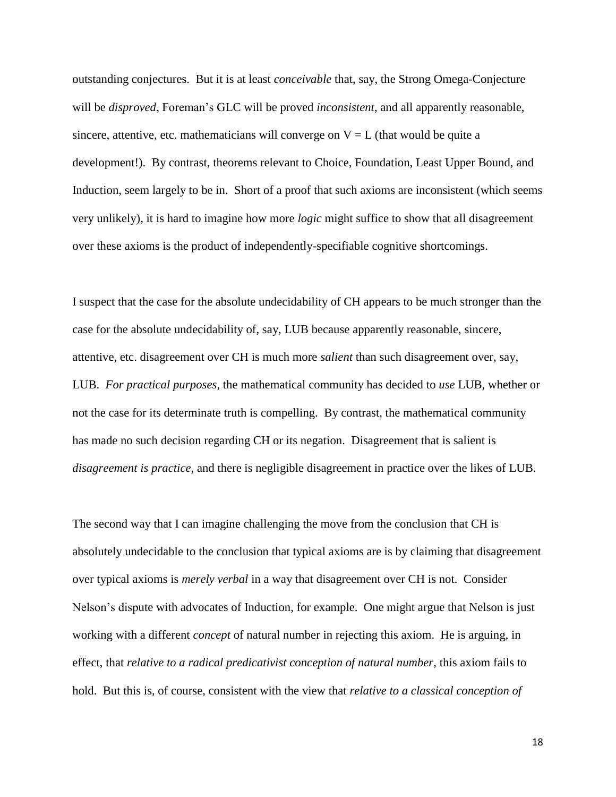outstanding conjectures. But it is at least *conceivable* that, say, the Strong Omega-Conjecture will be *disproved*, Foreman's GLC will be proved *inconsistent*, and all apparently reasonable, sincere, attentive, etc. mathematicians will converge on  $V = L$  (that would be quite a development!). By contrast, theorems relevant to Choice, Foundation, Least Upper Bound, and Induction, seem largely to be in. Short of a proof that such axioms are inconsistent (which seems very unlikely), it is hard to imagine how more *logic* might suffice to show that all disagreement over these axioms is the product of independently-specifiable cognitive shortcomings.

I suspect that the case for the absolute undecidability of CH appears to be much stronger than the case for the absolute undecidability of, say, LUB because apparently reasonable, sincere, attentive, etc. disagreement over CH is much more *salient* than such disagreement over, say, LUB. *For practical purposes*, the mathematical community has decided to *use* LUB, whether or not the case for its determinate truth is compelling. By contrast, the mathematical community has made no such decision regarding CH or its negation. Disagreement that is salient is *disagreement is practice*, and there is negligible disagreement in practice over the likes of LUB.

The second way that I can imagine challenging the move from the conclusion that CH is absolutely undecidable to the conclusion that typical axioms are is by claiming that disagreement over typical axioms is *merely verbal* in a way that disagreement over CH is not. Consider Nelson's dispute with advocates of Induction, for example. One might argue that Nelson is just working with a different *concept* of natural number in rejecting this axiom. He is arguing, in effect, that *relative to a radical predicativist conception of natural number*, this axiom fails to hold. But this is, of course, consistent with the view that *relative to a classical conception of*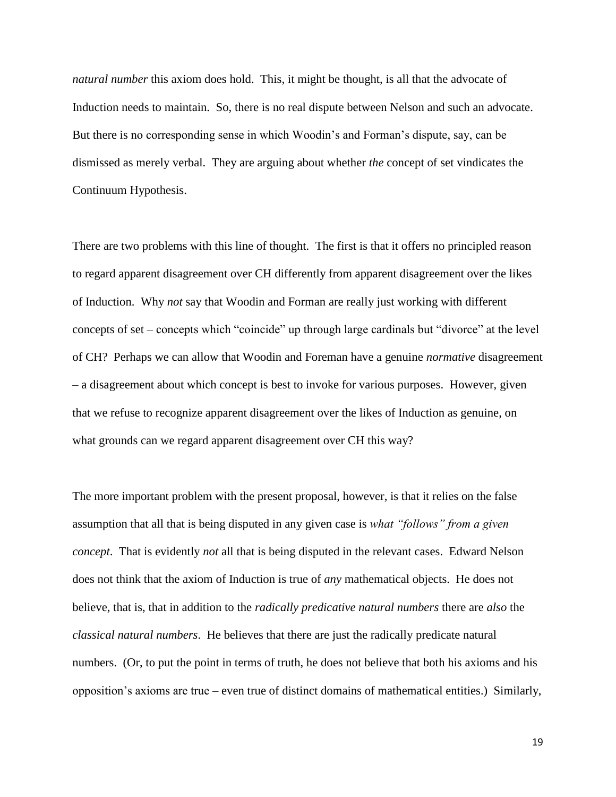*natural number* this axiom does hold. This, it might be thought, is all that the advocate of Induction needs to maintain. So, there is no real dispute between Nelson and such an advocate. But there is no corresponding sense in which Woodin's and Forman's dispute, say, can be dismissed as merely verbal. They are arguing about whether *the* concept of set vindicates the Continuum Hypothesis.

There are two problems with this line of thought. The first is that it offers no principled reason to regard apparent disagreement over CH differently from apparent disagreement over the likes of Induction. Why *not* say that Woodin and Forman are really just working with different concepts of set – concepts which "coincide" up through large cardinals but "divorce" at the level of CH? Perhaps we can allow that Woodin and Foreman have a genuine *normative* disagreement – a disagreement about which concept is best to invoke for various purposes. However, given that we refuse to recognize apparent disagreement over the likes of Induction as genuine, on what grounds can we regard apparent disagreement over CH this way?

The more important problem with the present proposal, however, is that it relies on the false assumption that all that is being disputed in any given case is *what "follows" from a given concept*. That is evidently *not* all that is being disputed in the relevant cases. Edward Nelson does not think that the axiom of Induction is true of *any* mathematical objects. He does not believe, that is, that in addition to the *radically predicative natural numbers* there are *also* the *classical natural numbers*. He believes that there are just the radically predicate natural numbers. (Or, to put the point in terms of truth, he does not believe that both his axioms and his opposition's axioms are true – even true of distinct domains of mathematical entities.) Similarly,

19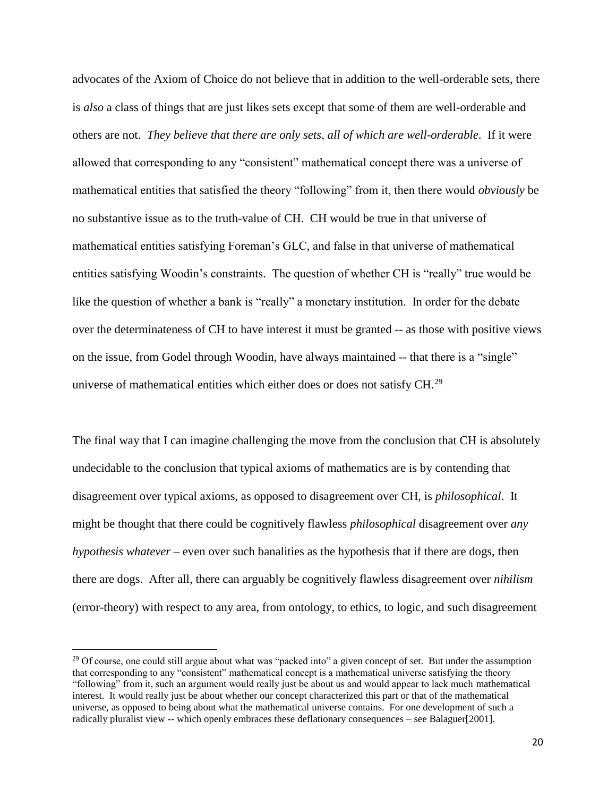advocates of the Axiom of Choice do not believe that in addition to the well-orderable sets, there is *also* a class of things that are just likes sets except that some of them are well-orderable and others are not. *They believe that there are only sets, all of which are well-orderable*. If it were allowed that corresponding to any "consistent" mathematical concept there was a universe of mathematical entities that satisfied the theory "following" from it, then there would *obviously* be no substantive issue as to the truth-value of CH. CH would be true in that universe of mathematical entities satisfying Foreman's GLC, and false in that universe of mathematical entities satisfying Woodin's constraints. The question of whether CH is "really" true would be like the question of whether a bank is "really" a monetary institution. In order for the debate over the determinateness of CH to have interest it must be granted -- as those with positive views on the issue, from Godel through Woodin, have always maintained -- that there is a "single" universe of mathematical entities which either does or does not satisfy CH. $^{29}$ 

The final way that I can imagine challenging the move from the conclusion that CH is absolutely undecidable to the conclusion that typical axioms of mathematics are is by contending that disagreement over typical axioms, as opposed to disagreement over CH, is *philosophical*. It might be thought that there could be cognitively flawless *philosophical* disagreement over *any hypothesis whatever* – even over such banalities as the hypothesis that if there are dogs, then there are dogs. After all, there can arguably be cognitively flawless disagreement over *nihilism* (error-theory) with respect to any area, from ontology, to ethics, to logic, and such disagreement

l

<sup>&</sup>lt;sup>29</sup> Of course, one could still argue about what was "packed into" a given concept of set. But under the assumption that corresponding to any "consistent" mathematical concept is a mathematical universe satisfying the theory "following" from it, such an argument would really just be about us and would appear to lack much mathematical interest. It would really just be about whether our concept characterized this part or that of the mathematical universe, as opposed to being about what the mathematical universe contains. For one development of such a radically pluralist view -- which openly embraces these deflationary consequences – see Balaguer[2001].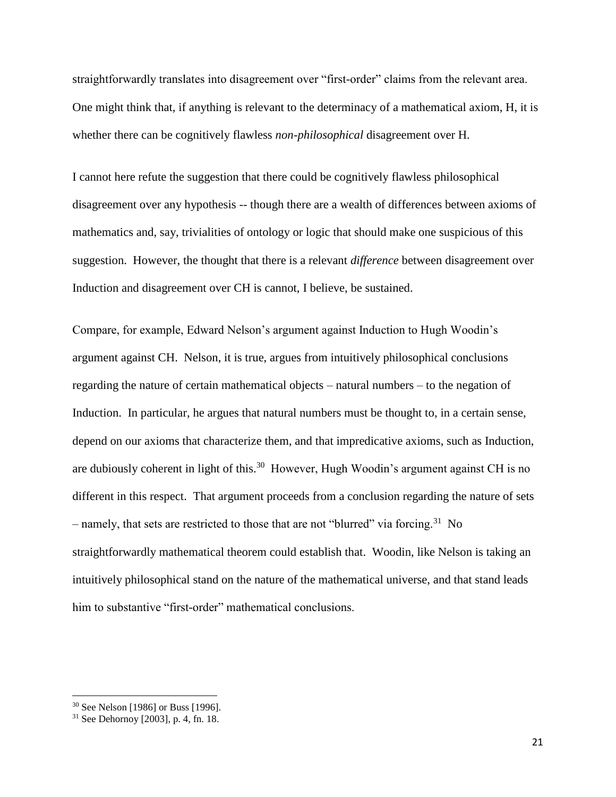straightforwardly translates into disagreement over "first-order" claims from the relevant area. One might think that, if anything is relevant to the determinacy of a mathematical axiom, H, it is whether there can be cognitively flawless *non-philosophical* disagreement over H.

I cannot here refute the suggestion that there could be cognitively flawless philosophical disagreement over any hypothesis -- though there are a wealth of differences between axioms of mathematics and, say, trivialities of ontology or logic that should make one suspicious of this suggestion. However, the thought that there is a relevant *difference* between disagreement over Induction and disagreement over CH is cannot, I believe, be sustained.

Compare, for example, Edward Nelson's argument against Induction to Hugh Woodin's argument against CH. Nelson, it is true, argues from intuitively philosophical conclusions regarding the nature of certain mathematical objects – natural numbers – to the negation of Induction. In particular, he argues that natural numbers must be thought to, in a certain sense, depend on our axioms that characterize them, and that impredicative axioms, such as Induction, are dubiously coherent in light of this.<sup>30</sup> However, Hugh Woodin's argument against CH is no different in this respect. That argument proceeds from a conclusion regarding the nature of sets – namely, that sets are restricted to those that are not "blurred" via forcing.<sup>31</sup> No straightforwardly mathematical theorem could establish that. Woodin, like Nelson is taking an intuitively philosophical stand on the nature of the mathematical universe, and that stand leads him to substantive "first-order" mathematical conclusions.

<sup>30</sup> See Nelson [1986] or Buss [1996].

<sup>31</sup> See Dehornoy [2003], p. 4, fn. 18.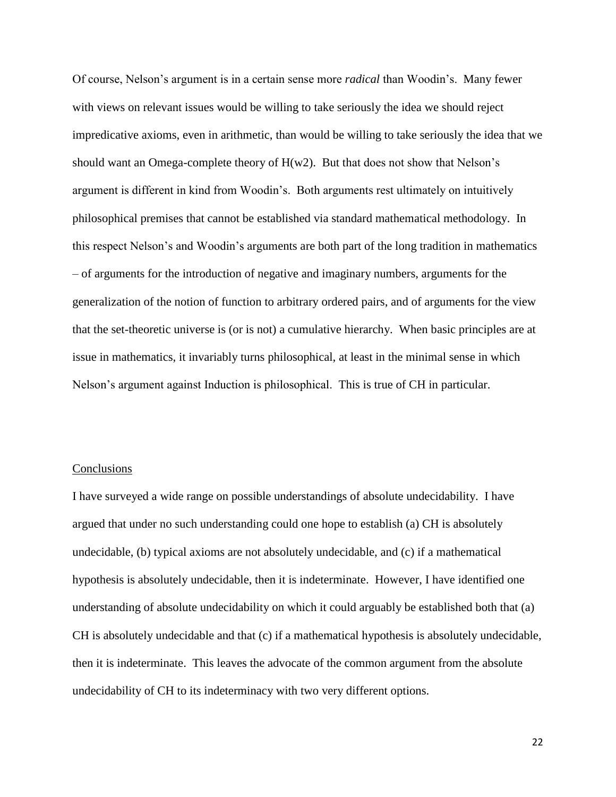Of course, Nelson's argument is in a certain sense more *radical* than Woodin's. Many fewer with views on relevant issues would be willing to take seriously the idea we should reject impredicative axioms, even in arithmetic, than would be willing to take seriously the idea that we should want an Omega-complete theory of  $H(w2)$ . But that does not show that Nelson's argument is different in kind from Woodin's. Both arguments rest ultimately on intuitively philosophical premises that cannot be established via standard mathematical methodology. In this respect Nelson's and Woodin's arguments are both part of the long tradition in mathematics – of arguments for the introduction of negative and imaginary numbers, arguments for the generalization of the notion of function to arbitrary ordered pairs, and of arguments for the view that the set-theoretic universe is (or is not) a cumulative hierarchy. When basic principles are at issue in mathematics, it invariably turns philosophical, at least in the minimal sense in which Nelson's argument against Induction is philosophical. This is true of CH in particular.

#### **Conclusions**

I have surveyed a wide range on possible understandings of absolute undecidability. I have argued that under no such understanding could one hope to establish (a) CH is absolutely undecidable, (b) typical axioms are not absolutely undecidable, and (c) if a mathematical hypothesis is absolutely undecidable, then it is indeterminate. However, I have identified one understanding of absolute undecidability on which it could arguably be established both that (a) CH is absolutely undecidable and that (c) if a mathematical hypothesis is absolutely undecidable, then it is indeterminate. This leaves the advocate of the common argument from the absolute undecidability of CH to its indeterminacy with two very different options.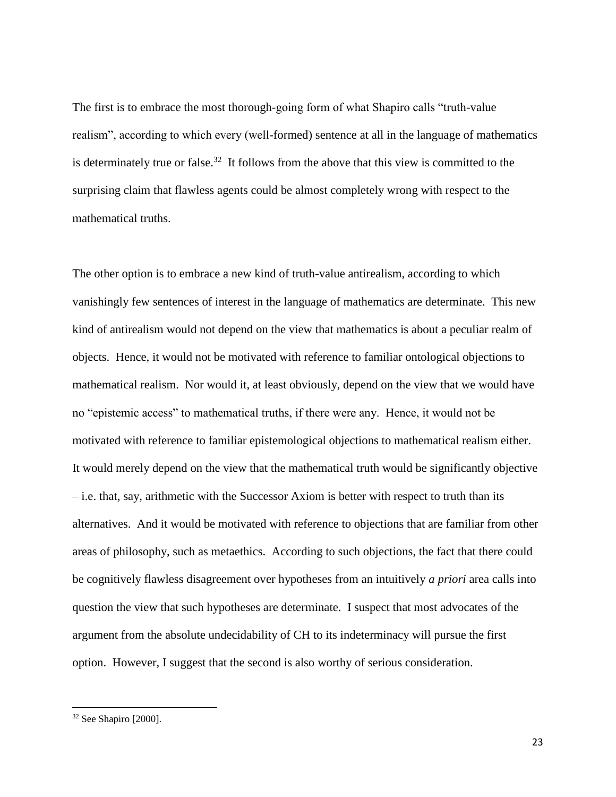The first is to embrace the most thorough-going form of what Shapiro calls "truth-value realism", according to which every (well-formed) sentence at all in the language of mathematics is determinately true or false.<sup>32</sup> It follows from the above that this view is committed to the surprising claim that flawless agents could be almost completely wrong with respect to the mathematical truths.

The other option is to embrace a new kind of truth-value antirealism, according to which vanishingly few sentences of interest in the language of mathematics are determinate. This new kind of antirealism would not depend on the view that mathematics is about a peculiar realm of objects. Hence, it would not be motivated with reference to familiar ontological objections to mathematical realism. Nor would it, at least obviously, depend on the view that we would have no "epistemic access" to mathematical truths, if there were any. Hence, it would not be motivated with reference to familiar epistemological objections to mathematical realism either. It would merely depend on the view that the mathematical truth would be significantly objective – i.e. that, say, arithmetic with the Successor Axiom is better with respect to truth than its alternatives. And it would be motivated with reference to objections that are familiar from other areas of philosophy, such as metaethics. According to such objections, the fact that there could be cognitively flawless disagreement over hypotheses from an intuitively *a priori* area calls into question the view that such hypotheses are determinate. I suspect that most advocates of the argument from the absolute undecidability of CH to its indeterminacy will pursue the first option. However, I suggest that the second is also worthy of serious consideration.

<sup>32</sup> See Shapiro [2000].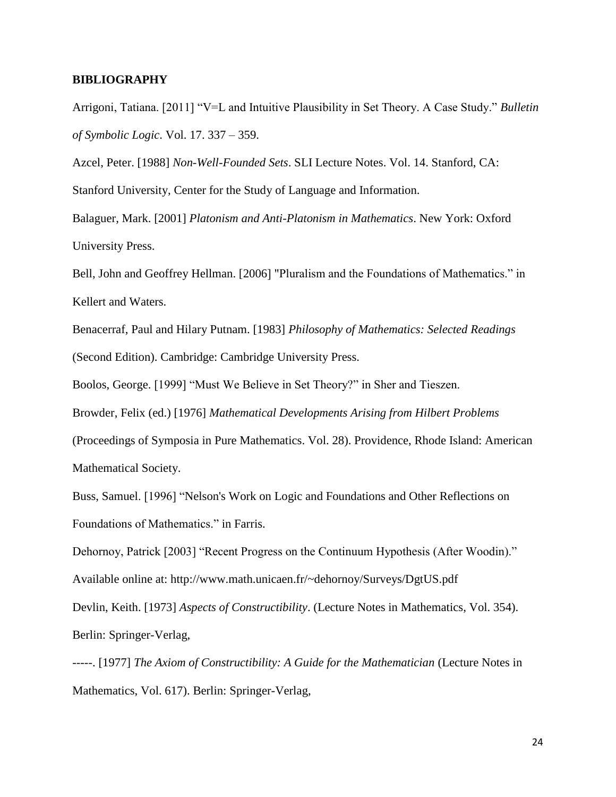### **BIBLIOGRAPHY**

Arrigoni, Tatiana. [2011] "V=L and Intuitive Plausibility in Set Theory. A Case Study." *Bulletin of Symbolic Logic*. Vol. 17. 337 – 359.

Azcel, Peter. [1988] *Non-Well-Founded Sets*. SLI Lecture Notes. Vol. 14. Stanford, CA:

Stanford University, Center for the Study of Language and Information.

Balaguer, Mark. [2001] *Platonism and Anti-Platonism in Mathematics*. New York: Oxford University Press.

Bell, John and Geoffrey Hellman. [2006] "Pluralism and the Foundations of Mathematics." in Kellert and Waters.

Benacerraf, Paul and Hilary Putnam. [1983] *Philosophy of Mathematics: Selected Readings* (Second Edition). Cambridge: Cambridge University Press.

Boolos, George. [1999] "Must We Believe in Set Theory?" in Sher and Tieszen.

Browder, Felix (ed.) [1976] *Mathematical Developments Arising from Hilbert Problems*

(Proceedings of Symposia in Pure Mathematics. Vol. 28). Providence, Rhode Island: American Mathematical Society.

Buss, Samuel. [1996] "Nelson's Work on Logic and Foundations and Other Reflections on Foundations of Mathematics." in Farris.

Dehornoy, Patrick [2003] "Recent Progress on the Continuum Hypothesis (After Woodin)." Available online at: http://www.math.unicaen.fr/~dehornoy/Surveys/DgtUS.pdf

Devlin, Keith. [1973] *Aspects of Constructibility*. (Lecture Notes in Mathematics, Vol. 354). Berlin: Springer-Verlag,

-----. [1977] *The Axiom of Constructibility: A Guide for the Mathematician (Lecture Notes in* Mathematics, Vol. 617). Berlin: Springer-Verlag,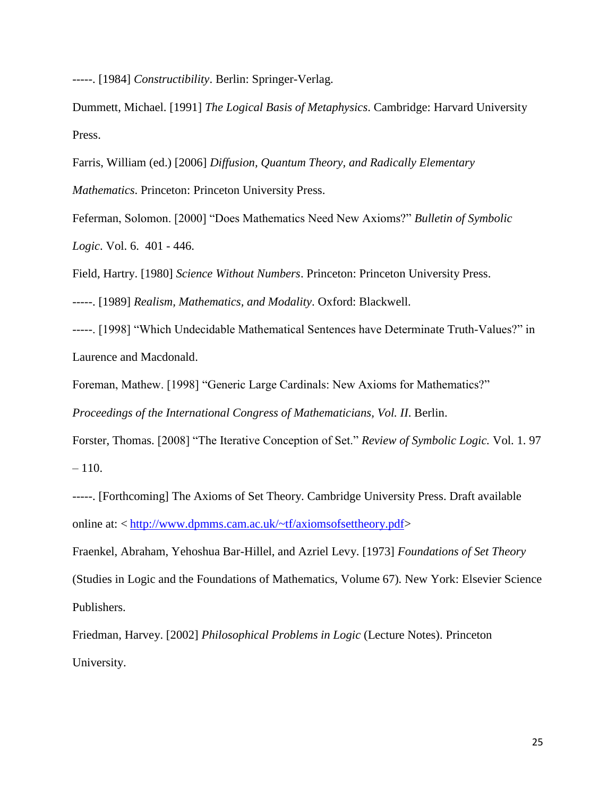-----. [1984] *Constructibility*. Berlin: Springer-Verlag.

Dummett, Michael. [1991] *The Logical Basis of Metaphysics*. Cambridge: Harvard University Press.

Farris, William (ed.) [2006] *Diffusion, Quantum Theory, and Radically Elementary Mathematics*. Princeton: Princeton University Press.

Feferman, Solomon. [2000] "Does Mathematics Need New Axioms?" *Bulletin of Symbolic Logic*. Vol. 6. 401 - 446.

Field, Hartry. [1980] *Science Without Numbers*. Princeton: Princeton University Press.

-----. [1989] *Realism, Mathematics, and Modality*. Oxford: Blackwell.

-----. [1998] "Which Undecidable Mathematical Sentences have Determinate Truth-Values?" in Laurence and Macdonald.

Foreman, Mathew. [1998] "Generic Large Cardinals: New Axioms for Mathematics?"

*Proceedings of the International Congress of Mathematicians, Vol. II*. Berlin.

Forster, Thomas. [2008] "The Iterative Conception of Set." *Review of Symbolic Logic.* Vol. 1. 97  $-110.$ 

-----. [Forthcoming] The Axioms of Set Theory. Cambridge University Press. Draft available online at: < [http://www.dpmms.cam.ac.uk/~tf/axiomsofsettheory.pdf>](http://www.dpmms.cam.ac.uk/~tf/axiomsofsettheory.pdf)

Fraenkel, Abraham, Yehoshua Bar-Hillel, and Azriel Levy. [1973] *Foundations of Set Theory*  (Studies in Logic and the Foundations of Mathematics, Volume 67)*.* New York: Elsevier Science Publishers.

Friedman, Harvey. [2002] *Philosophical Problems in Logic* (Lecture Notes). Princeton University.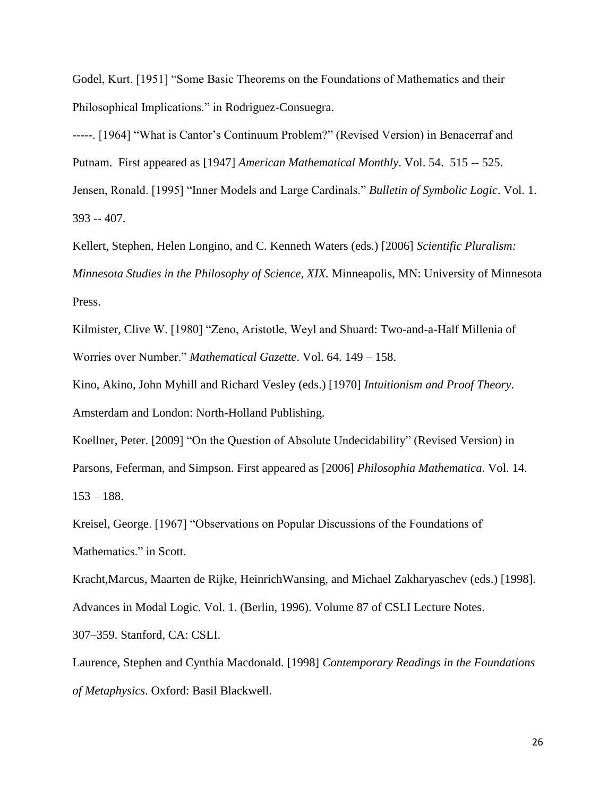Godel, Kurt. [1951] "Some Basic Theorems on the Foundations of Mathematics and their Philosophical Implications." in Rodriguez-Consuegra.

-----. [1964] "What is Cantor's Continuum Problem?" (Revised Version) in Benacerraf and Putnam. First appeared as [1947] *American Mathematical Monthly*. Vol. 54. 515 -- 525. Jensen, Ronald. [1995] "Inner Models and Large Cardinals." *Bulletin of Symbolic Logic*. Vol. 1. 393 -- 407.

Kellert, Stephen, Helen Longino, and C. Kenneth Waters (eds.) [2006] *Scientific Pluralism: Minnesota Studies in the Philosophy of Science, XIX.* Minneapolis, MN: University of Minnesota Press.

Kilmister, Clive W. [1980] "Zeno, Aristotle, Weyl and Shuard: Two-and-a-Half Millenia of Worries over Number." *Mathematical Gazette*. Vol. 64. 149 – 158.

Kino, Akino, John Myhill and Richard Vesley (eds.) [1970] *Intuitionism and Proof Theory*. Amsterdam and London: North-Holland Publishing.

Koellner, Peter. [2009] "On the Question of Absolute Undecidability" (Revised Version) in Parsons, Feferman, and Simpson. First appeared as [2006] *Philosophia Mathematica*. Vol. 14.  $153 - 188.$ 

Kreisel, George. [1967] "Observations on Popular Discussions of the Foundations of Mathematics." in Scott.

Kracht,Marcus, Maarten de Rijke, HeinrichWansing, and Michael Zakharyaschev (eds.) [1998]. Advances in Modal Logic. Vol. 1. (Berlin, 1996). Volume 87 of CSLI Lecture Notes. 307–359. Stanford, CA: CSLI.

Laurence, Stephen and Cynthia Macdonald. [1998] *Contemporary Readings in the Foundations of Metaphysics*. Oxford: Basil Blackwell.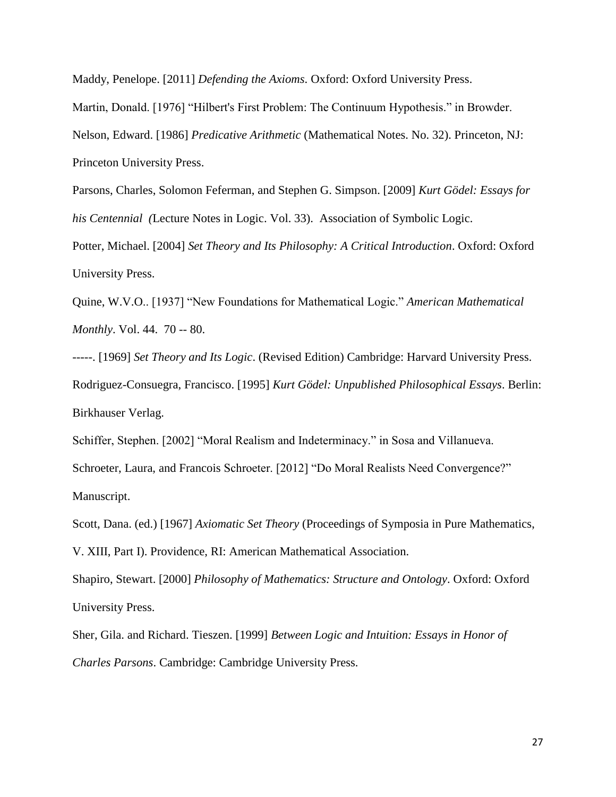Maddy, Penelope. [2011] *Defending the Axioms*. Oxford: Oxford University Press.

Martin, Donald. [1976] "Hilbert's First Problem: The Continuum Hypothesis." in Browder.

Nelson, Edward. [1986] *Predicative Arithmetic* (Mathematical Notes. No. 32). Princeton, NJ: Princeton University Press.

Parsons, Charles, Solomon Feferman, and Stephen G. Simpson. [2009] *Kurt Gödel: Essays for his Centennial (*Lecture Notes in Logic. Vol. 33). Association of Symbolic Logic.

Potter, Michael. [2004] *Set Theory and Its Philosophy: A Critical Introduction*. Oxford: Oxford University Press.

Quine, W.V.O.. [1937] "New Foundations for Mathematical Logic." *American Mathematical Monthly*. Vol. 44. 70 -- 80.

-----. [1969] *Set Theory and Its Logic*. (Revised Edition) Cambridge: Harvard University Press. Rodriguez-Consuegra, Francisco. [1995] *Kurt Gödel: Unpublished Philosophical Essays*. Berlin: Birkhauser Verlag.

Schiffer, Stephen. [2002] "Moral Realism and Indeterminacy." in Sosa and Villanueva. Schroeter, Laura, and Francois Schroeter. [2012] "Do Moral Realists Need Convergence?" Manuscript.

Scott, Dana. (ed.) [1967] *Axiomatic Set Theory* (Proceedings of Symposia in Pure Mathematics, V. XIII, Part I). Providence, RI: American Mathematical Association.

Shapiro, Stewart. [2000] *Philosophy of Mathematics: Structure and Ontology*. Oxford: Oxford University Press.

Sher, Gila. and Richard. Tieszen. [1999] *Between Logic and Intuition: Essays in Honor of Charles Parsons*. Cambridge: Cambridge University Press.